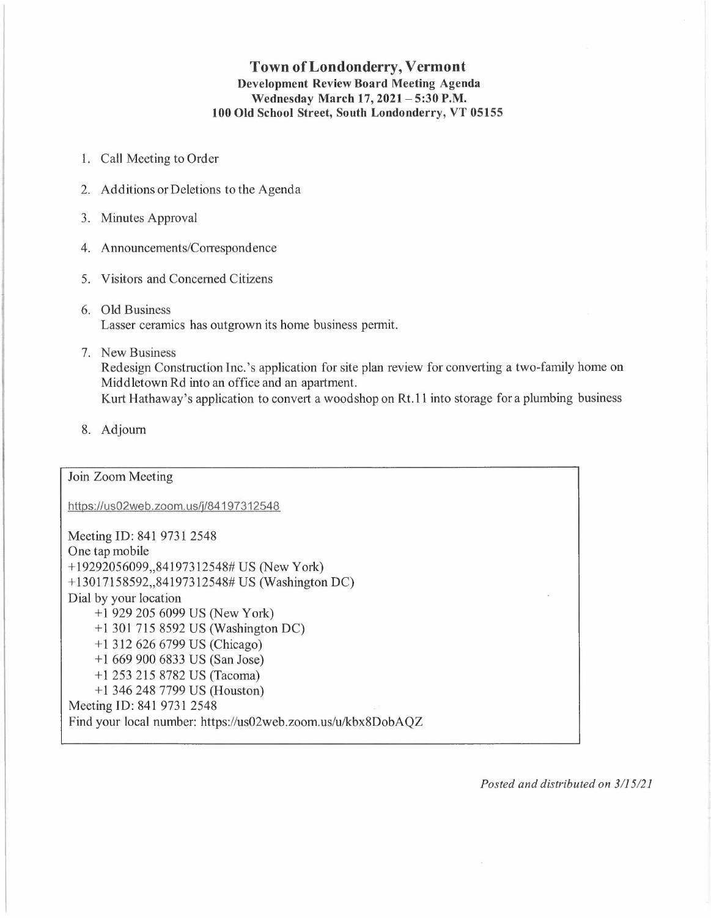# **Town of Londonderry, Vermont Development Review Board Meeting Agenda Wednesday March 17, 2021- 5:30 P.M. 100 Old School Street, South Londonderry, VT 05155**

- 1. Call Meeting to Order
- 2. Additions or Deletions to the Agenda
- 3. Minutes Approval
- 4. Announcements/Correspondence
- 5. Visitors and Concerned Citizens
- 6. Old Business Lasser ceramics has outgrown its home business permit.
- 7. New Business Redesign Construction Inc. 's application for site plan review for converting a two-family home on Middletown Rd into an office and an apartment. Kurt Hathaway's application to convert a wood shop on Rt.11 into storage for a plumbing business
- 8. Adjourn

# Join Zoom Meeting

https://us02web.zoom.us/j/84197312548

Meeting ID: 841 9731 2548 One tap mobile + 19292056099,,84197312548# US (New York) + 13017158592,,84197312548# US (Washington DC) Dial by your location + 1 929 205 6099 US (New York) + 1 301 715 8592 US (Washington DC) +1312626 6799 US (Chicago) +1 669 900 6833 US (San Jose) + 1 253 215 8782 US (Tacoma) + 1 346 248 7799 US (Houston) Meeting ID: 841 9731 2548 Find your local number: https://us02web.zoom.us/u/kbx8DobAQZ

*Posted and distributed on 3/1 5/21*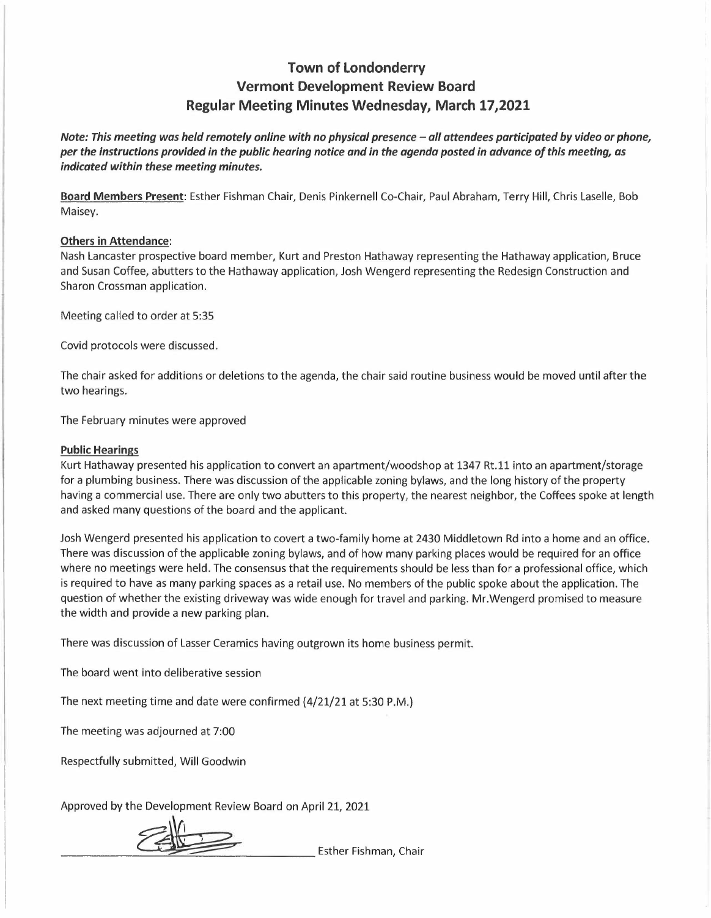# **Town of Londonderry Vermont Development Review Board Regular Meeting Minutes Wednesday, March 17,2021**

*Note: This meeting was held remotely online with no physical presence - all attendees participated by video or phone, per the instructions provided in the public hearing notice and in the agenda posted in advance of this meeting, as indicated within these meeting minutes.* 

**Board Members Present:** Esther Fishman Chair, Denis Pinkernell Co-Chair, Paul Abraham, Terry Hill, Chris Laselle, Bob Maisey.

### **Others in Attendance:**

Nash Lancaster prospective board member, Kurt and Preston Hathaway representing the Hathaway application, Bruce and Susan Coffee, abutters to the Hathaway application, Josh Wengerd representing the Redesign Construction and Sharon Crossman application.

Meeting called to order at 5:35

Covid protocols were discussed.

The chair asked for additions or deletions to the agenda, the chair said routine business would be moved until after the two hearings.

The February minutes were approved

### **Public Hearings**

Kurt Hathaway presented his application to convert an apartment/woodshop at 1347 Rt.11 into an apartment/storage for a plumbing business. There was discussion of the applicable zoning bylaws, and the long history of the property having a commercial use. There are only two abutters to this property, the nearest neighbor, the Coffees spoke at length and asked many questions of the board and the applicant.

Josh Wengerd presented his application to covert a two-family home at 2430 Middletown Rd into a home and an office. There was discussion of the applicable zoning bylaws, and of how many parking places would be required for an office where no meetings were held. The consensus that the requirements should be less than for a professional office, which is required to have as many parking spaces as a retail use. No members of the public spoke about the application. The question of whether the existing driveway was wide enough for travel and parking. Mr.Wengerd promised to measure the width and provide a new parking plan.

There was discussion of Lasser Ceramics having outgrown its home business permit.

The board went into deliberative session

The next meeting time and date were confirmed (4/21/21 at 5:30 P.M.)

The meeting was adjourned at 7:00

Respectfully submitted, Will Goodwin

Approved by the Development Review Board on April 21, 2021 -------~---"::;\_\_-=--------- Esther Fishman, Chair

amitted, Will Good<br> **e** Development Rev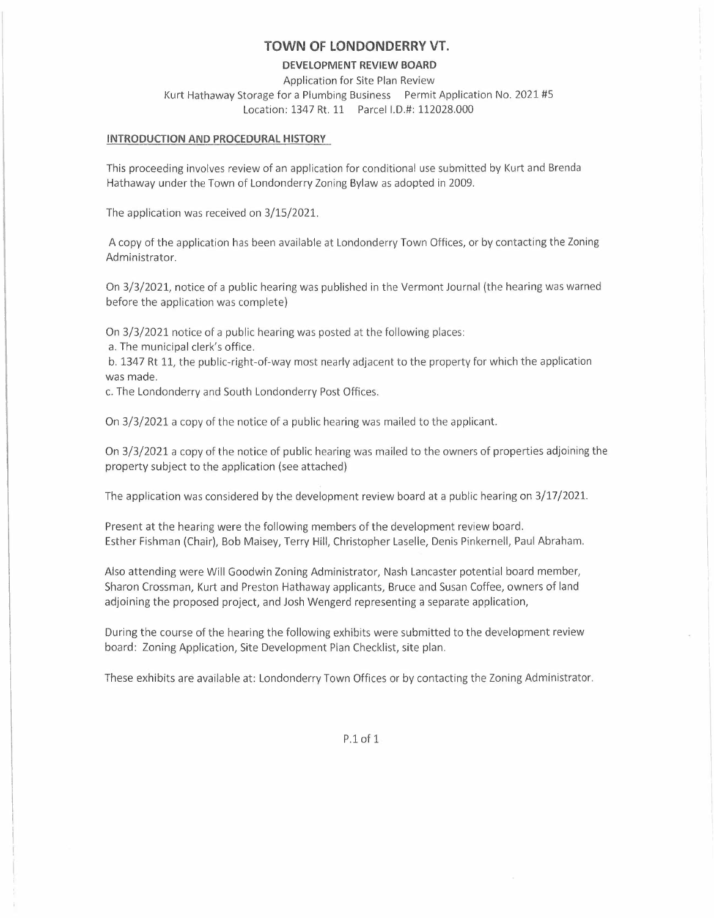### **TOWN OF LONDONDERRY VT.**

#### **DEVELOPMENT REVIEW BOARD**

Application for Site Plan Review Kurt Hathaway Storage for a Plumbing Business Permit Application No. 2021 #5 Location: 1347 Rt. 11 Parcel 1.0.#: 112028.000

#### **INTRODUCTION AND PROCEDURAL HISTORY**

This proceeding involves review of an application for conditional use submitted by Kurt and Brenda Hathaway under the Town of Londonderry Zoning Bylaw as adopted in 2009.

The application was received on 3/15/2021.

A copy of the application has been available at Londonderry Town Offices, or by contacting the Zoning Administrator.

On 3/3/2021, notice of a public hearing was published in the Vermont Journal (the hearing was warned before the application was complete)

On 3/3/2021 notice of a public hearing was posted at the following places:

a. The municipal clerk's office.

b. 1347 Rt 11, the public-right-of-way most nearly adjacent to the property for which the application was made.

c. The Londonderry and South Londonderry Post Offices.

On 3/3/2021 a copy of the notice of a public hearing was mailed to the applicant.

On 3/3/2021 a copy of the notice of public hearing was mailed to the owners of properties adjoining the property subject to the application (see attached)

The application was considered by the development review board at a public hearing on 3/17/2021.

Present at the hearing were the following members of the development review board. Esther Fishman (Chair), Bob Maisey, Terry Hill, Christopher Laselle, Denis Pinkernell, Paul Abraham.

Also attending were Will Goodwin Zoning Administrator, Nash Lancaster potential board member, Sharon Crossman, Kurt and Preston Hathaway applicants, Bruce and Susan Coffee, owners of land adjoining the proposed project, and Josh Wengerd representing a separate application,

During the course of the hearing the following exhibits were submitted to the development review board: Zoning Application, Site Development Plan Checklist, site plan.

These exhibits are available at: Londonderry Town Offices or by contacting the Zoning Administrator.

P.1 of 1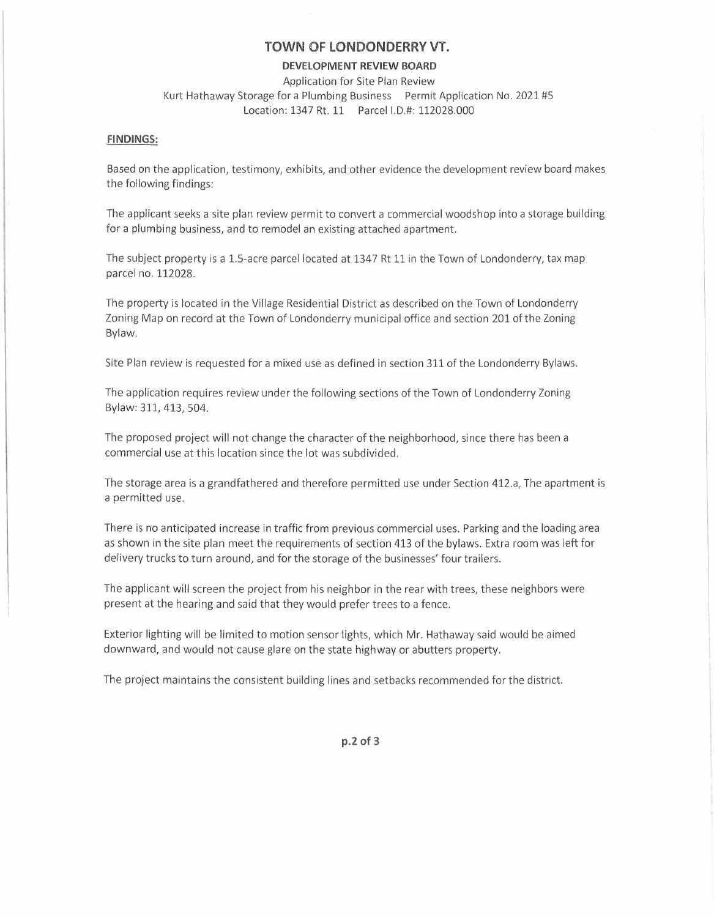### **TOWN OF LONDONDERRY VT.**

#### **DEVELOPMENT REVIEW BOARD**

Application for Site Plan Review Kurt Hathaway Storage for a Plumbing Business Permit Application No. 2021 #5 Location: 1347 Rt. 11 Parcel I.D.#: 112028.000

#### **FINDINGS:**

Based on the application, testimony, exhibits, and other evidence the development review board makes the following findings:

The applicant seeks a site plan review permit to convert a commercial woodshop into a storage building for a plumbing business, and to remodel an existing attached apartment.

The subject property is a 1.5-acre parcel located at 1347 Rt 11 in the Town of Londonderry, tax map parcel no. 112028.

The property is located in the Village Residential District as described on the Town of Londonderry Zoning Map on record at the Town of Londonderry municipal office and section 201 of the Zoning Bylaw.

Site Plan review is requested for a mixed use as defined in section 311 of the Londonderry Bylaws.

The application requires review under the following sections of the Town of Londonderry Zoning Bylaw: 311, 413, 504.

The proposed project will not change the character of the neighborhood, since there has been a commercial use at this location since the lot was subdivided.

The storage area is a grandfathered and therefore permitted use under Section 412.a, The apartment is a permitted use.

There is no anticipated increase in traffic from previous commercial uses. Parking and the loading area as shown in the site plan meet the requirements of section 413 of the bylaws. Extra room was left for delivery trucks to turn around, and for the storage of the businesses' four trailers.

The applicant will screen the project from his neighbor in the rear with trees, these neighbors were present at the hearing and said that they would prefer trees to a fence.

Exterior lighting will be limited to motion sensor lights, which Mr. Hathaway said would be aimed downward, and would not cause glare on the state highway or abutters property.

The project maintains the consistent building lines and setbacks recommended for the district.

**p.2 of 3**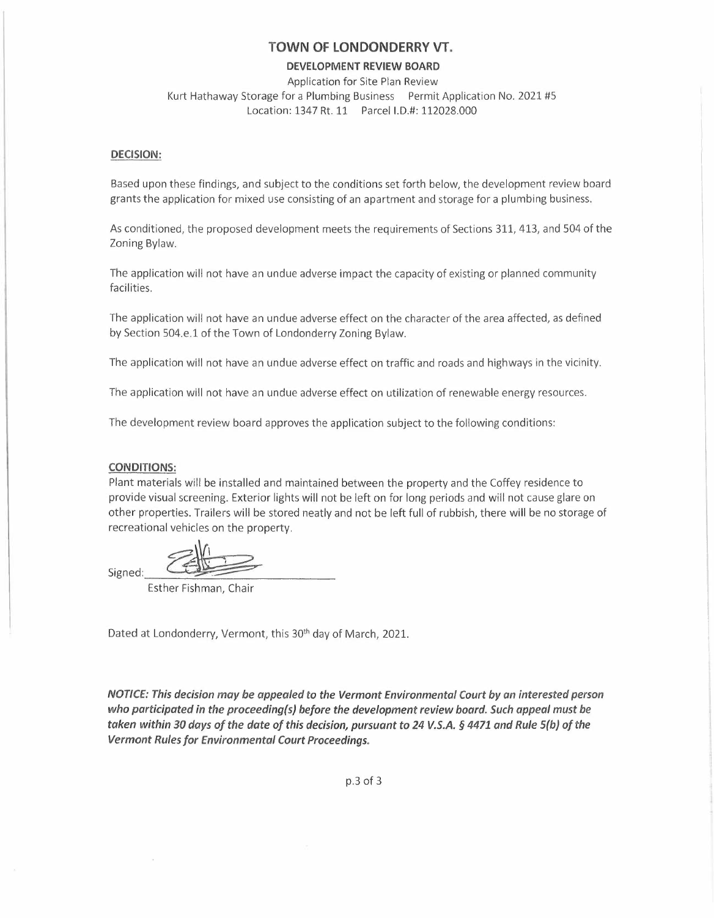### **TOWN OF LONDONDERRY VT.**

#### **DEVELOPMENT REVIEW BOARD**

Application for Site Plan Review Kurt Hathaway Storage for a Plumbing Business Permit Application No. 2021 #5 Location: 1347 Rt. 11 Parcel I.D.#: 112028.000

#### **DECISION:**

Based upon these findings, and subject to the conditions set forth below, the development review board grants the application for mixed use consisting of an apartment and storage for a plumbing business.

As conditioned, the proposed development meets the requirements of Sections 311, 413, and 504 of the Zoning Bylaw.

The application will not have an undue adverse impact the capacity of existing or planned community facilities.

The application will not have an undue adverse effect on the character of the area affected, as defined by Section 504.e.l of the Town of Londonderry Zoning Bylaw.

The application will not have an undue adverse effect on traffic and roads and highways in the vicinity.

The application will not have an undue adverse effect on utilization of renewable energy resources.

The development review board approves the application subject to the following conditions:

#### **CONDITIONS:**

Plant materials will be installed and maintained between the property and the Coffey residence to provide visual screening. Exterior lights will not be left on for long periods and will not cause glare on other properties. Trailers will be stored neatly and not be left full of rubbish, there will be no storage of recreational vehicles on the property. CONDITIONS:<br>
Plant materials will be installed and maintained be<br>
provide visual screening. Exterior lights will not be<br>
other properties. Trailers will be stored neatly and<br>
recreational vehicles on the property.<br>
Signed:

*<u><i>*</u>

Esther Fishman, Chair

Dated at Londonderry, Vermont, this 30<sup>th</sup> day of March, 2021.

*NOTICE: This decision may be appealed to the Vermont Environmental Court by an interested person who participated in the proceeding(s) before the development review board. Such appeal must be taken within 30 days of the date of this decision, pursuant* **to** *24 V.S.A. § 4471 and Rule S(b) of the Vermont Rules for Environmental Court Proceedings.* 

p.3 of 3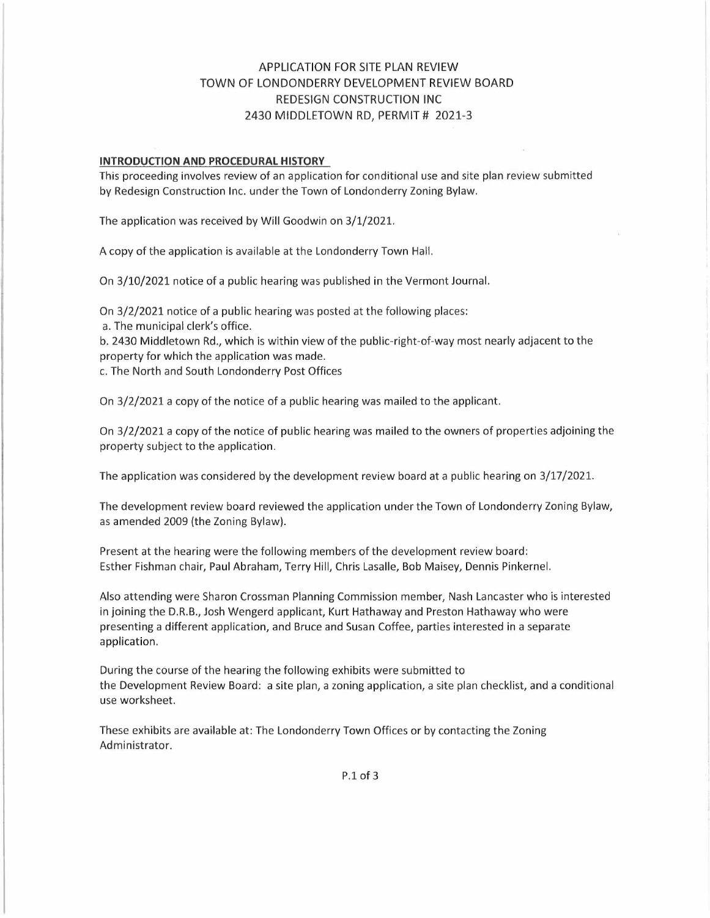# APPLICATION FOR SITE PLAN REVIEW TOWN OF LONDONDERRY DEVELOPMENT REVIEW BOARD REDESIGN CONSTRUCTION INC 2430 MIDDLETOWN RD, PERMIT # 2021-3

#### **INTRODUCTION AND PROCEDURAL HISTORY**

This proceeding involves review of an application for conditional use and site plan review submitted by Redesign Construction Inc. under the Town of Londonderry Zoning Bylaw.

The application was received by Will Goodwin on 3/1/2021.

A copy of the application is available at the Londonderry Town Hall.

On 3/10/2021 notice of a public hearing was published in the Vermont Journal.

On 3/2/2021 notice of a public hearing was posted at the following places:

a. The municipal clerk's office.

b. 2430 Middletown Rd., which is within view of the public-right-of-way most nearly adjacent to the property for which the application was made.

c. The North and South Londonderry Post Offices

On 3/2/2021 a copy of the notice of a public hearing was mailed to the applicant.

On 3/2/2021 a copy of the notice of public hearing was mailed to the owners of properties adjoining the property subject to the application.

The application was considered by the development review board at a public hearing on 3/17/2021.

The development review board reviewed the application under the Town of Londonderry Zoning Bylaw, as amended 2009 (the Zoning Bylaw).

Present at the hearing were the following members of the development review board: Esther Fishman chair, Paul Abraham, Terry Hill, Chris Lasalle, Bob Maisey, Dennis Pinkernel.

Also attending were Sharon Crossman Planning Commission member, Nash Lancaster who is interested in joining the D.R.B., Josh Wengerd applicant, Kurt Hathaway and Preston Hathaway who were presenting a different application, and Bruce and Susan Coffee, parties interested in a separate application.

During the course of the hearing the following exhibits were submitted to the Development Review Board: a site plan, a zoning application, a site plan checklist, and a conditional use worksheet.

These exhibits are available at: The Londonderry Town Offices or by contacting the Zoning Administrator.

P.1 of 3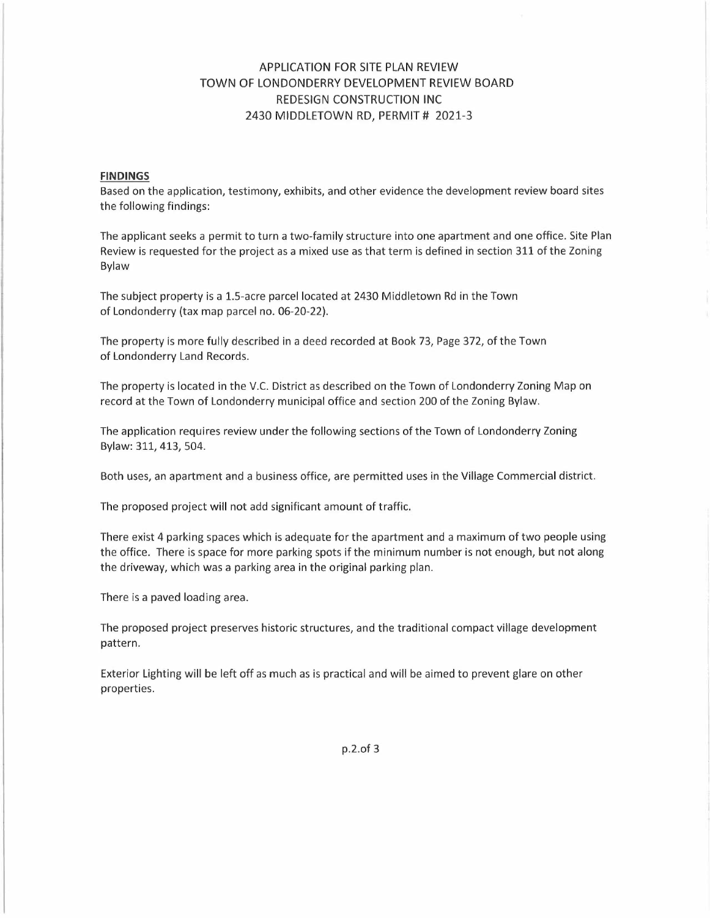# APPLICATION FOR SITE PLAN REVIEW TOWN OF LONDONDERRY DEVELOPMENT REVIEW BOARD REDESIGN CONSTRUCTION INC 2430 MIDDLETOWN RD, PERMIT # 2021-3

#### **FINDINGS**

Based on the application, testimony, exhibits, and other evidence the development review board sites the following findings:

The applicant seeks a permit to turn a two-family structure into one apartment and one office. Site Plan Review is requested for the project as a mixed use as that term is defined in section 311 of the Zoning Bylaw

The subject property is a 1.5-acre parcel located at 2430 Middletown Rd in the Town of Londonderry (tax map parcel no. 06-20-22).

The property is more fully described in a deed recorded at Book 73, Page 372, of the Town of Londonderry Land Records.

The property is located in the V.C. District as described on the Town of Londonderry Zoning Map on record at the Town of Londonderry municipal office and section 200 of the Zoning Bylaw.

The application requires review under the following sections of the Town of Londonderry Zoning Bylaw: 311, 413, 504.

Both uses, an apartment and a business office, are permitted uses in the Village Commercial district.

The proposed project will not add significant amount of traffic.

There exist 4 parking spaces which is adequate for the apartment and a maximum of two people using the office. There is space for more parking spots if the minimum number is not enough, but not along the driveway, which was a parking area in the original parking plan.

There is a paved loading area.

The proposed project preserves historic structures, and the traditional compact village development pattern.

Exterior Lighting will be left off as much as is practical and will be aimed to prevent glare on other properties.

p.2.of 3